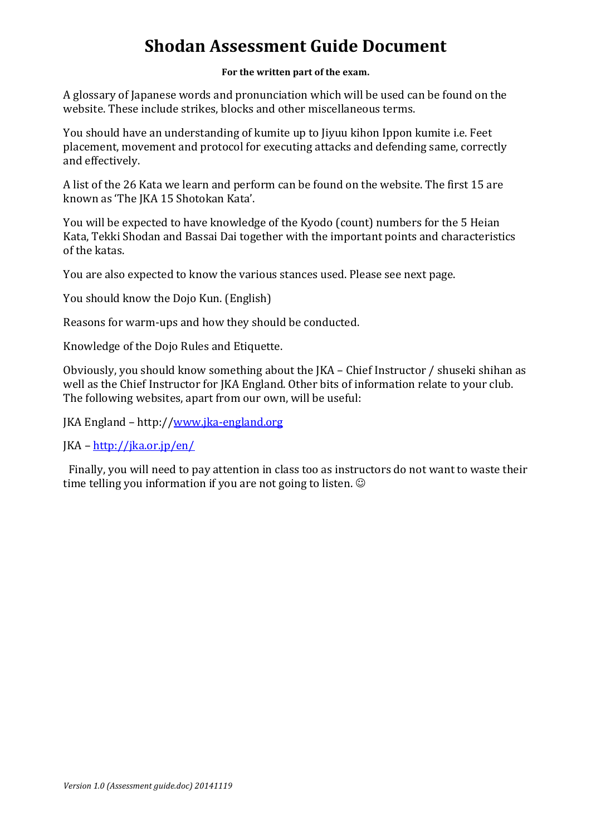## **Shodan Assessment Guide Document**

## For the written part of the exam.

A glossary of Japanese words and pronunciation which will be used can be found on the website. These include strikes, blocks and other miscellaneous terms.

You should have an understanding of kumite up to Jiyuu kihon Ippon kumite *i.e.* Feet placement, movement and protocol for executing attacks and defending same, correctly and effectively.

A list of the 26 Kata we learn and perform can be found on the website. The first 15 are known as 'The IKA 15 Shotokan Kata'.

You will be expected to have knowledge of the Kyodo (count) numbers for the 5 Heian Kata, Tekki Shodan and Bassai Dai together with the important points and characteristics of the katas.

You are also expected to know the various stances used. Please see next page.

You should know the Dojo Kun. (English)

Reasons for warm-ups and how they should be conducted.

Knowledge of the Dojo Rules and Etiquette.

Obviously, you should know something about the JKA – Chief Instructor / shuseki shihan as well as the Chief Instructor for JKA England. Other bits of information relate to your club. The following websites, apart from our own, will be useful:

JKA England - http://www.jka-england.org

 $JKA - http://ika.or.jp/en/$ 

Finally, you will need to pay attention in class too as instructors do not want to waste their time telling you information if you are not going to listen.  $\odot$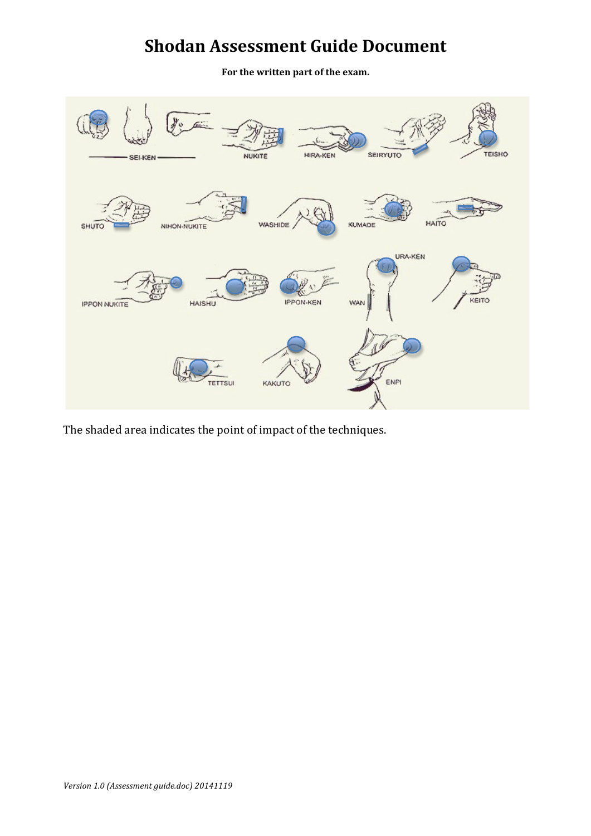## **Shodan Assessment Guide Document**

For the written part of the exam.



The shaded area indicates the point of impact of the techniques.